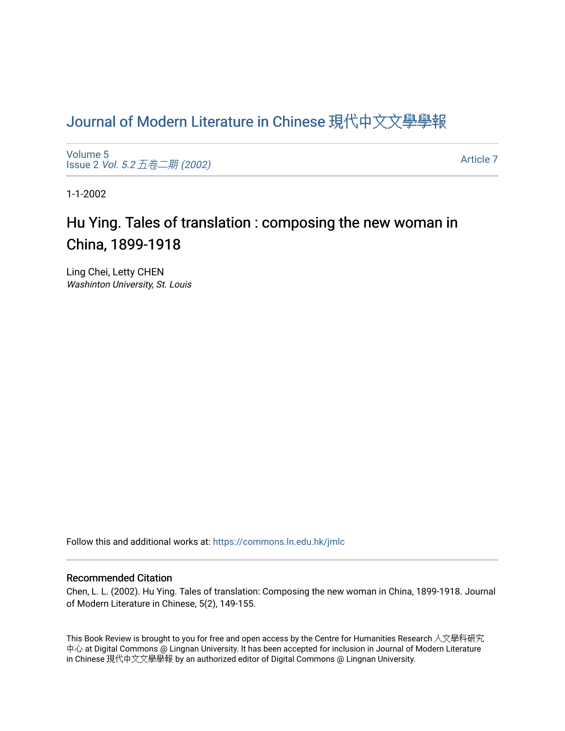## [Journal of Modern Literature in Chinese](https://commons.ln.edu.hk/jmlc) 現代中文文學學報

[Volume 5](https://commons.ln.edu.hk/jmlc/vol5) Issue 2 Vol. 5.2 [五卷二期](https://commons.ln.edu.hk/jmlc/vol5/iss2) (2002)

[Article 7](https://commons.ln.edu.hk/jmlc/vol5/iss2/7) 

1-1-2002

## Hu Ying. Tales of translation : composing the new woman in China, 1899-1918

Ling Chei, Letty CHEN Washinton University, St. Louis

Follow this and additional works at: [https://commons.ln.edu.hk/jmlc](https://commons.ln.edu.hk/jmlc?utm_source=commons.ln.edu.hk%2Fjmlc%2Fvol5%2Fiss2%2F7&utm_medium=PDF&utm_campaign=PDFCoverPages) 

## Recommended Citation

Chen, L. L. (2002). Hu Ying. Tales of translation: Composing the new woman in China, 1899-1918. Journal of Modern Literature in Chinese, 5(2), 149-155.

This Book Review is brought to you for free and open access by the Centre for Humanities Research 人文學科研究 中心 at Digital Commons @ Lingnan University. It has been accepted for inclusion in Journal of Modern Literature in Chinese 現代中文文學學報 by an authorized editor of Digital Commons @ Lingnan University.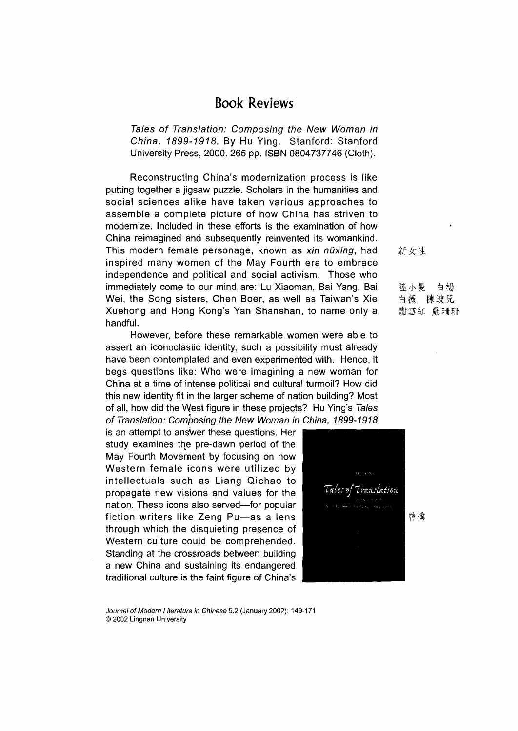## **Book Reviews**

*Tales of Translation: Composing the New Woman in China, 1899-1918.* By Hu Ying. Stanford: Stanford University Press, 2000. 265 pp. ISBN 0804737746 (Cloth).

Reconstructing China's modernization process is like putting together a jigsaw puzzle. Scholars in the humanities and social sciences alike have taken various approaches to assemble a complete picture of how China has striven to modernize. Included in these efforts is the examination of how China reimagined and subsequently reinvented its womankind. This modern female personage, known as *xin nuxing,* had inspired many women of the May Fourth era to embrace independence and political and social activism. Those who immediately come to our mind are: Lu Xiaoman, Bai Yang, Bai Wei, the Song sisters, Chen Boer, as well as Taiwan's Xie Xuehong and Hong Kong's Yan Shanshan, to name only a handful.

However, before these remarkable women were able to assert an iconoclastic identity, such a possibility must already have been contemplated and even experimented with. Hence, it begs questions like: Who were imagining a new woman for China at a time of intense political and cultural turmoil? How did this new identity fit in the larger scheme of nation building? Most of all, how did the West figure in these projects? Hu Ying^ *Tales of Translation; Composing the New Woman in China, 1899-1918*

is an attempt to answer these questions. Her study examines the pre-dawn period of the May Fourth Movement by focusing on how Western female icons were utilized by intellectuals such as Liang Qichao to propagate new visions and values for the nation. These icons also served—for popular fiction writers like Zeng Pu—as a lens through which the disquieting presence of Western culture could be comprehended. Standing at the crossroads between building a new China and sustaining its endangered traditional culture is the faint figure of China's



新女性

陸小曼白楊 白薇 陳波兒 謝雪紅 嚴珊珊

*Journal of Modern Literature in Chinese* 5.2 (January 2002): 149-171 © 2002 Lingnan University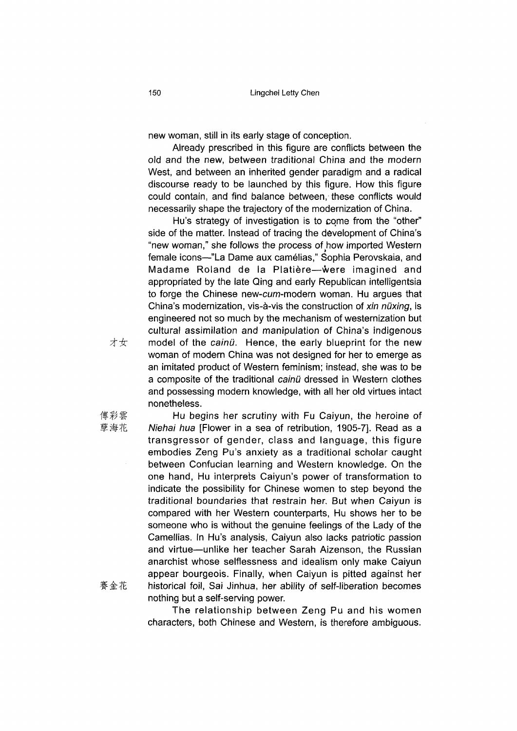new woman, still in its early stage of conception.

Already prescribed in this figure are conflicts between the old and the new, between traditional China and the modern West, and between an inherited gender paradigm and a radical discourse ready to be launched by this figure. How this figure could contain, and find balance between, these conflicts would necessarily shape the trajectory of the modernization of China.

Hu's strategy of investigation is to come from the "other" side of the matter. Instead of tracing the development of China's "new woman," she follows the process of how imported Western female icons—"La Dame aux camelias," Sophia Perovskaia, and Madame Roland de la Platiere—were imagined and appropriated by the late Qing and early Republican intelligentsia to forge the Chinese new-cum-modern woman. Hu argues that China's modernization, vis-a-vis the construction of *xin nuxing,* is engineered not so much by the mechanism of westernization but cultural assimilation and manipulation of China's indigenous model of the *cainü*. Hence, the early blueprint for the new woman of modern China was not designed for her to emerge as an imitated product of Western feminism; instead, she was to be a composite of the traditional *cainu* dressed in Western clothes and possessing modern knowledge, with all her old virtues intact nonetheless.

才女

傅彩雲 Hu begins her scrutiny with Fu Caiyun, the heroine of 孽海花 Aliehai hua [Flower in a sea of retribution, 1905-7]. Read as a transgressor of gender, class and language, this figure embodies Zeng Pu's anxiety as a traditional scholar caught between Confucian learning and Western knowledge. On the one hand, Hu interprets Caiyun's power of transformation to indicate the possibility for Chinese women to step beyond the traditional boundaries that restrain her. But when Caiyun is compared with her Western counterparts, Hu shows her to be someone who is without the genuine feelings of the Lady of the Camellias. In Hu's analysis, Caiyun also lacks patriotic passion and virtue—unlike her teacher Sarah Aizenson, the Russian anarchist whose selflessness and idealism only make Caiyun appear bourgeois. Finally, when Caiyun is pitted against her 金花 historical foil, Sai Jinhua, her ability of self-liberation becomes nothing but a self-serving power.

> The relationship between Zeng Pu and his women characters, both Chinese and Western, is therefore ambiguous.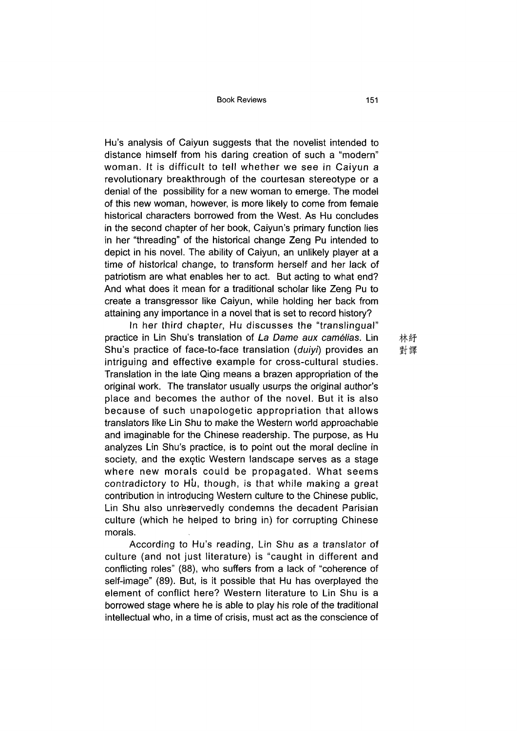Book Reviews 151

Hu's analysis of Caiyun suggests that the novelist intended to distance himself from his daring creation of such a "modern" woman. It is difficult to tell whether we see in Caiyun a revolutionary breakthrough of the courtesan stereotype or a denial of the possibility for a new woman to emerge. The model of this new woman, however, is more likely to come from female historical characters borrowed from the West. As Hu concludes in the second chapter of her book, Caiyun's primary function lies in her "threading" of the historical change Zeng Pu intended to depict in his novel. The ability of Caiyun, an unlikely player at a time of historical change, to transform herself and her lack of patriotism are what enables her to act. But acting to what end? And what does it mean for a traditional scholar like Zeng Pu to create a transgressor like Caiyun, while holding her back from attaining any importance in a novel that is set to record history?

In her third chapter, Hu discusses the "translingual" practice in Lin Shu's translation of *La Dame aux camelias.* Lin Shu's practice of face-to-face translation *(duiyi)* provides an intriguing and effective example for cross-cultural studies. Translation in the late Qing means a brazen appropriation of the original work. The translator usually usurps the original author's place and becomes the author of the novel. But it is also because of such unapologetic appropriation that allows translators like Lin Shu to make the Western world approachable and imaginable for the Chinese readership. The purpose, as Hu analyzes Lin Shu's practice, is to point out the moral decline in society, and the exotic Western landscape serves as a stage where new morals could be propagated. What seems contradictory to Hu, though, is that while making a great contribution in introducing Western culture to the Chinese public, Lin Shu also unreservedly condemns the decadent Parisian culture (which he helped to bring in) for corrupting Chinese morals.

According to Hu's reading, Lin Shu as a translator of culture (and not just literature) is "caught in different and conflicting roles" (88), who suffers from a lack of "coherence of self-image" (89). But, is it possible that Hu has overplayed the element of conflict here? Western literature to Lin Shu is a borrowed stage where he is able to play his role of the traditional intellectual who, in a time of crisis, must act as the conscience of

林紆 對譯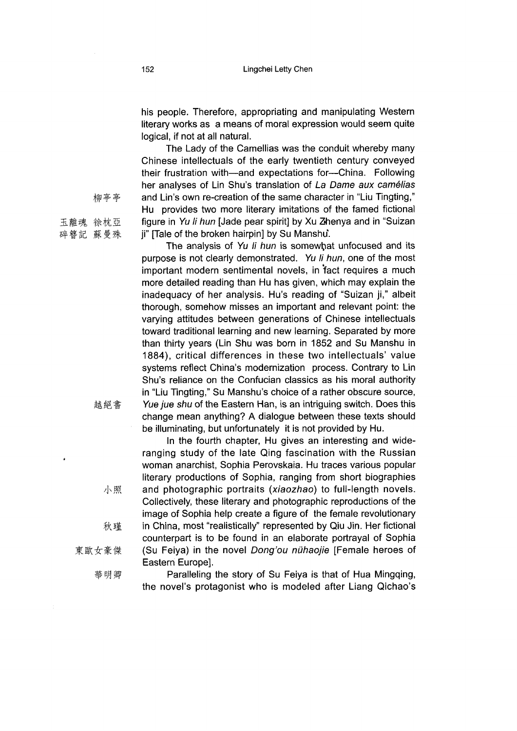his people. Therefore, appropriating and manipulating Western literary works as a means of moral expression would seem quite logical, if not at all natural.

The Lady of the Camellias was the conduit whereby many Chinese intellectuals of the early twentieth century conveyed their frustration with—and expectations for—China. Following her analyses of Lin Shu's translation of *La Dame aux camelias* and Lin's own re-creation of the same character in "Liu Tingting," Hu provides two more literary imitations of the famed fictional figure in *Yu li hun* [Jade pear spirit] by Xu Zhenya and in "Suizan ii" [Tale of the broken hairpin] by Su Manshu.

The analysis of *Yu li hun* is somewhat unfocused and its purpose is not clearly demonstrated. *Yu li hun,* one of the most important modern sentimental novels, in fact requires a much more detailed reading than Hu has given, which may explain the inadequacy of her analysis. Hu's reading of "Suizan ji," albeit thorough, somehow misses an important and relevant point: the varying attitudes between generations of Chinese intellectuals toward traditional learning and new learning. Separated by more than thirty years (Lin Shu was born in 1852 and Su Manshu in 1884), critical differences in these two intellectuals' value systems reflect China's modernization process. Contrary to Lin Shu's reliance on the Confucian classics as his moral authority in "Liu Tingting," Su Manshu's choice of a rather obscure source *Yue jue shu* of the Eastern Han, is an intriguing switch. Does this change mean anything? A dialogue between these texts should be illuminating, but unfortunately it is not provided by Hu.

In the fourth chapter, Hu gives an interesting and wideranging study of the late Qing fascination with the Russian woman anarchist, Sophia Perovskaia. Hu traces various popular literary productions of Sophia, ranging from short biographies and photographic portraits *(xiaozhao)* to full-length novels. Collectively, these literary and photographic reproductions of the image of Sophia help create a figure of the female revolutionary in China, most "realistically" represented by Qiu Jin. Her fictional counterpart is to be found in an elaborate portrayal of Sophia (Su Feiya) in the novel *Dong}ou nuhaojie* [Female heroes of Eastern Europe].

Paralleling the story of Su Feiya is that of Hua Mingqing, the novel's protagonist who is modeled after Liang Qichao's

柳亭亭

越絕書

小照

秋瑾

華明卿

東歐女豪傑

玉離魂 徐枕亞 碎簪記蘇曼殊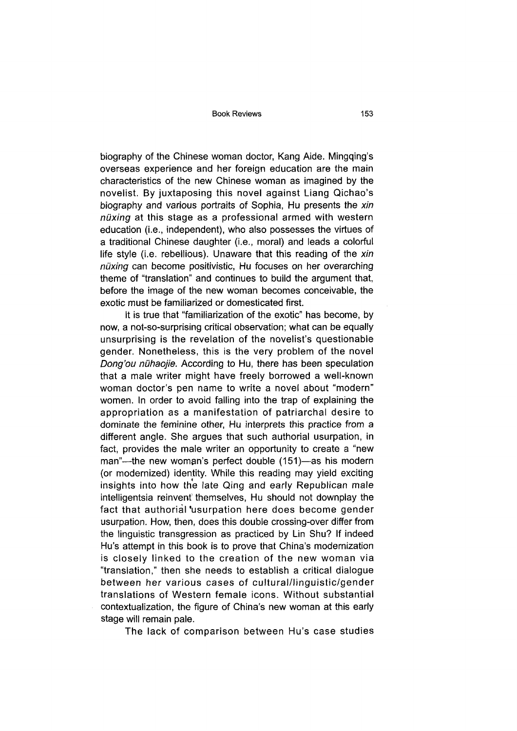Book Reviews 153

biography of the Chinese woman doctor, Kang Aide. Mingqing's overseas experience and her foreign education are the main characteristics of the new Chinese woman as imagined by the novelist. By juxtaposing this novel against Liang Qichao's biography and various portraits of Sophia, Hu presents the *xin nuxing* at this stage as a professional armed with western education (i.e., independent), who also possesses the virtues of a traditional Chinese daughter (i.e., moral) and leads a colorful life style (i.e. rebellious). Unaware that this reading of the *xin nuxing* can become positivistic, Hu focuses on her overarching theme of "translation" and continues to build the argument that, before the image of the new woman becomes conceivable, the exotic must be familiarized or domesticated first.

It is true that "familiarization of the exotic" has become, by now, a not-so-surprising critical observation; what can be equally unsurprising is the revelation of the novelist's questionable gender. Nonetheless, this is the very problem of the novel *Dong'ou nühaojie.* According to Hu, there has been speculation that a male writer might have freely borrowed a well-known woman doctor's pen name to write a novel about "modern" women. In order to avoid falling into the trap of explaining the appropriation as a manifestation of patriarchal desire to dominate the feminine other, Hu interprets this practice from a different angle. She argues that such authorial usurpation, in fact, provides the male writer an opportunity to create a "new man"—the new woman's perfect double (151)—as his modern (or modernized) identity. While this reading may yield exciting insights into how the late Qing and early Republican male intelligentsia reinvent themselves, Hu should not downplay the fact that authorial usurpation here does become gender usurpation. How, then, does this double crossing-over differ from the linguistic transgression as practiced by Lin Shu? If indeed Hu's attempt in this book is to prove that China's modernization is closely linked to the creation of the new woman via "translation," then she needs to establish a critical dialogue between her various cases of oultural/linguistic/gender translations of Western female icons. Without substantial contextualization, the figure of China's new woman at this early stage will remain pale.

The lack of comparison between Hu's case studies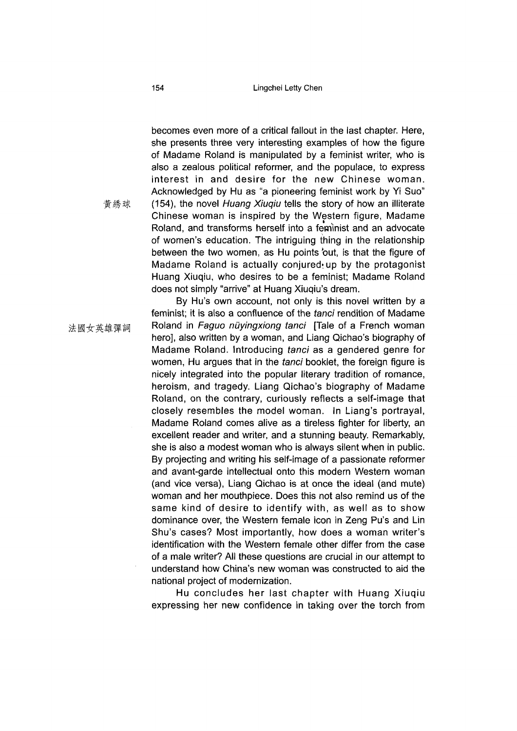154 Lingchei Letty Chen

becomes even more of a critical fallout in the last chapter. Here, she presents three very interesting examples of how the figure of Madame Roland is manipulated by a feminist writer, who is also a zealous political reformer, and the populace, to express interest in and desire for the new Chinese woman. Acknowledged by Hu as "a pioneering feminist work by Yi Suo" (154), the novel *Huang Xiuqiu* tells the story of how an illiterate Chinese woman is inspired by the Western figure, Madame Roland, and transforms herself into a feminist and an advocate of women's education. The intriguing thing in the relationship between the two women, as Hu points 'out, is that the figure of Madame Roland is actually conjured up by the protagonist Huang Xiuqiu, who desires to be a feminist; Madame Roland does not simply "arrive" at Huang Xiuqiu's dream.

By Hu's own account, not only is this novel written by a feminist; it is also a confluence of the *tanci* rendition of Madame Roland in *Faguo nuyingxiong tanci* [Tale of a French woman hero], also written by a woman, and Liang Qichao's biography of Madame Roland. Introducing *tanci* as a gendered genre for women, Hu argues that in the *tanci* booklet, the foreign figure is nicely integrated into the popular literary tradition of romance, heroism, and tragedy. Liang Qichao's biography of Madame Roland, on the contrary, curiously reflects a self-image that closely resembles the model woman. In Liang's portrayal, Madame Roland comes alive as a tireless fighter for liberty, an excellent reader and writer, and a stunning beauty. Remarkably, she is also a modest woman who is always silent when in public. By projecting and writing his self-image of a passionate reformer and avant-garde intellectual onto this modern Western woman (and vice versa), Liang Qichao is at once the ideal (and mute) woman and her mouthpiece. Does this not also remind us of the same kind of desire to identify with, as well as to show dominance over, the Western female icon in Zeng Pu's and Lin Shu's cases? Most importantly, how does a woman writer's identification with the Western female other differ from the case of a male writer? All these questions are crucial in our attempt to understand how China's new woman was constructed to aid the national project of modernization.

Hu concludes her last chapter with Huang Xiuqiu expressing her new confidence in taking over the torch from

黃綉球

法國女英雄彈詞